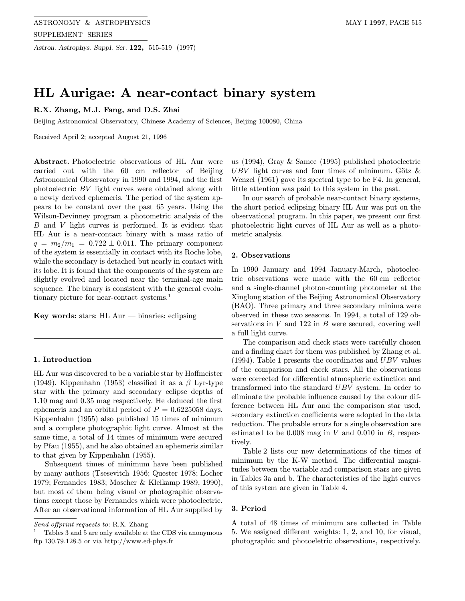# HL Aurigae: A near-contact binary system

## R.X. Zhang, M.J. Fang, and D.S. Zhai

Beijing Astronomical Observatory, Chinese Academy of Sciences, Beijing 100080, China

Received April 2; accepted August 21, 1996

Abstract. Photoelectric observations of HL Aur were carried out with the 60 cm reflector of Beijing Astronomical Observatory in 1990 and 1994, and the first photoelectric BV light curves were obtained along with a newly derived ephemeris. The period of the system appears to be constant over the past 65 years. Using the Wilson-Devinney program a photometric analysis of the B and V light curves is performed. It is evident that HL Aur is a near-contact binary with a mass ratio of  $q = m_2/m_1 = 0.722 \pm 0.011$ . The primary component of the system is essentially in contact with its Roche lobe, while the secondary is detached but nearly in contact with its lobe. It is found that the components of the system are slightly evolved and located near the terminal-age main sequence. The binary is consistent with the general evolutionary picture for near-contact systems.<sup>1</sup>

Key words: stars: HL Aur  $-$  binaries: eclipsing

## 1. Introduction

HL Aur was discovered to be a variable star by Hoffmeister (1949). Kippenhahn (1953) classified it as a  $\beta$  Lyr-type star with the primary and secondary eclipse depths of 1.10 mag and 0.35 mag respectively. He deduced the first ephemeris and an orbital period of  $P = 0.6225058$  days. Kippenhahn (1955) also published 15 times of minimum and a complete photographic light curve. Almost at the same time, a total of 14 times of minimum were secured by Pfau (1955), and he also obtained an ephemeris similar to that given by Kippenhahn (1955).

Subsequent times of minimum have been published by many authors (Tsesevitch 1956; Quester 1978; Locher 1979; Fernandes 1983; Moscher & Kleikamp 1989, 1990), but most of them being visual or photographic observations except those by Fernandes which were photoelectric. After an observational information of HL Aur supplied by

us (1994), Gray & Samec (1995) published photoelectric  $UBV$  light curves and four times of minimum. Götz  $\&$ Wenzel (1961) gave its spectral type to be F4. In general, little attention was paid to this system in the past.

In our search of probable near-contact binary systems, the short period eclipsing binary HL Aur was put on the observational program. In this paper, we present our first photoelectric light curves of HL Aur as well as a photometric analysis.

### 2. Observations

In 1990 January and 1994 January-March, photoelectric observations were made with the 60 cm reflector and a single-channel photon-counting photometer at the Xinglong station of the Beijing Astronomical Observatory (BAO). Three primary and three secondary minima were observed in these two seasons. In 1994, a total of 129 observations in  $V$  and 122 in  $B$  were secured, covering well a full light curve.

The comparison and check stars were carefully chosen and a finding chart for them was published by Zhang et al.  $(1994)$ . Table 1 presents the coordinates and UBV values of the comparison and check stars. All the observations were corrected for differential atmospheric extinction and transformed into the standard UBV system. In order to eliminate the probable influence caused by the colour difference between HL Aur and the comparison star used, secondary extinction coefficients were adopted in the data reduction. The probable errors for a single observation are estimated to be  $0.008$  mag in  $V$  and  $0.010$  in  $B$ , respectively.

Table 2 lists our new determinations of the times of minimum by the K-W method. The differential magnitudes between the variable and comparison stars are given in Tables 3a and b. The characteristics of the light curves of this system are given in Table 4.

### 3. Period

A total of 48 times of minimum are collected in Table 5. We assigned different weights: 1, 2, and 10, for visual, photographic and photoeletric observations, respectively.

Send offprint requests to: R.X. Zhang

<sup>1</sup> Tables 3 and 5 are only available at the CDS via anonymous ftp 130.79.128.5 or via http://www.ed-phys.fr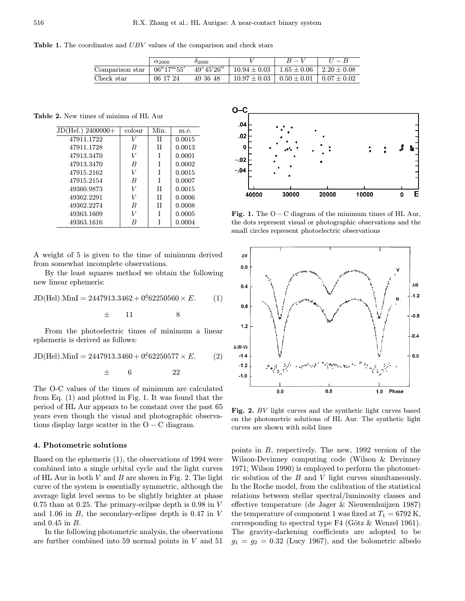Table 1. The coordinates and UBV values of the comparison and check stars

|                 | $\alpha_{2000}$           | 02000               |                  |                 |                   |
|-----------------|---------------------------|---------------------|------------------|-----------------|-------------------|
| Comparison star | $06^{\rm h}17^{\rm m}55'$ | $49^{\circ}45'26''$ | $10.94 \pm 0.03$ | $1.65 \pm 0.06$ | $1.2.20 \pm 0.08$ |
| Check star      | 06 17 24                  | 49 36 48            | $10.97 \pm 0.03$ | $0.50\pm0.01$   | $0.07 \pm 0.02$   |

Table 2. New times of minima of HL Aur

| JD(Hel.) 2400000+ | colour | Min. | m.e.   |
|-------------------|--------|------|--------|
| 47911.1722        |        | H    | 0.0015 |
| 47911.1728        | B      | Н    | 0.0013 |
| 47913.3470        |        |      | 0.0001 |
| 47913.3470        | B      | T    | 0.0002 |
| 47915.2162        | V      | T    | 0.0015 |
| 47915.2154        | B      | T    | 0.0007 |
| 49360.9873        | V      | H    | 0.0015 |
| 49362.2291        | V      | H    | 0.0006 |
| 49362.2274        | B      | H    | 0.0008 |
| 49363.1609        | V      | T    | 0.0005 |
| 49363.1616        | R      |      | 0.0004 |

A weight of 5 is given to the time of minimum derived from somewhat incomplete observations.

By the least squares method we obtain the following new linear ephemeris:

$$
JD(Hel). \text{MinI} = 2447913.3462 + 0.62250560 \times E. \tag{1}
$$

$$
\pm \qquad 11 \qquad \qquad 8
$$

From the photoelectric times of minimum a linear ephemeris is derived as follows:

$$
JD(Hel). MinI = 2447913.3460 + 0.62250577 \times E.
$$
 (2)

 $\pm$  6 22

The O-C values of the times of minimum are calculated from Eq. (1) and plotted in Fig. 1. It was found that the period of HL Aur appears to be constant over the past 65 years even though the visual and photographic observations display large scatter in the  $O - C$  diagram.

## 4. Photometric solutions

Based on the ephemeris (1), the observations of 1994 were combined into a single orbital cycle and the light curves of HL Aur in both  $V$  and  $B$  are shown in Fig. 2. The light curve of the system is essentially symmetric, although the average light level seems to be slightly brighter at phase 0.75 than at 0.25. The primary-ecilpse depth is 0.98 in V and 1.06 in B, the secondary-eclipse depth is 0.47 in V and 0.45 in B.

In the following photometric analysis, the observations are further combined into 59 normal points in V and 51



Fig. 1. The  $O - C$  diagram of the minimum times of HL Aur, the dots represent visual or photographic observations and the small circles represent photoelectric observations



Fig. 2. BV light curves and the synthetic light curves based on the photometric solutions of HL Aur. The synthetic light curves are shown with solid lines

points in B, respectively. The new, 1992 version of the Wilson-Devinney computing code (Wilson & Devinney 1971; Wilson 1990) is employed to perform the photometric solution of the B and V light curves simultaneously. In the Roche model, from the calibration of the statistical relations between stellar spectral/luminosity classes and effective temperature (de Jager & Nieuwenhuijzen 1987) the temperature of component 1 was fixed at  $T_1 = 6792 \text{ K}$ , corresponding to spectral type  $F4$  (Götz & Wenzel 1961). The gravity-darkening coefficients are adopted to be  $g_1 = g_2 = 0.32$  (Lucy 1967), and the bolometric albedo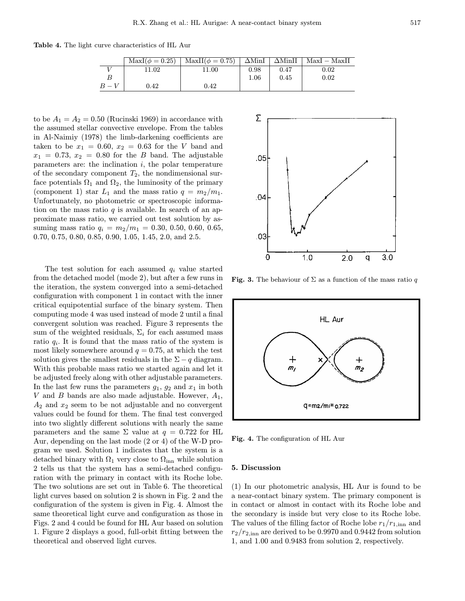Table 4. The light curve characteristics of HL Aur

|       | $\text{MaxI}(\phi = 0.25)$ | $MaxII(\phi = 0.75)$ | $\Delta$ MinI | $\Delta$ MinII | $MaxI - MaxII$ |
|-------|----------------------------|----------------------|---------------|----------------|----------------|
|       | 11.02                      | 11.00                | 0.98          | 0.47           | $0.02\,$       |
|       |                            |                      | 1.06          | 0.45           | 0.02           |
| $B-V$ | 0.42                       | $0.42\,$             |               |                |                |

to be  $A_1 = A_2 = 0.50$  (Rucinski 1969) in accordance with the assumed stellar convective envelope. From the tables in Al-Naimiy (1978) the limb-darkening coefficients are taken to be  $x_1 = 0.60, x_2 = 0.63$  for the V band and  $x_1 = 0.73$ ,  $x_2 = 0.80$  for the B band. The adjustable parameters are: the inclination  $i$ , the polar temperature of the secondary component  $T_2$ , the nondimensional surface potentials  $\Omega_1$  and  $\Omega_2$ , the luminosity of the primary (component 1) star  $L_1$  and the mass ratio  $q = m_2/m_1$ . Unfortunately, no photometric or spectroscopic information on the mass ratio  $q$  is available. In search of an approximate mass ratio, we carried out test solution by assuming mass ratio  $q_i = m_2/m_1 = 0.30, 0.50, 0.60, 0.65,$ 0.70, 0.75, 0.80, 0.85, 0.90, 1.05, 1.45, 2.0, and 2.5.

The test solution for each assumed  $q_i$  value started from the detached model (mode 2), but after a few runs in the iteration, the system converged into a semi-detached configuration with component 1 in contact with the inner critical equipotential surface of the binary system. Then computing mode 4 was used instead of mode 2 until a final convergent solution was reached. Figure 3 represents the sum of the weighted residuals,  $\Sigma_i$  for each assumed mass ratio  $q_i$ . It is found that the mass ratio of the system is most likely somewhere around  $q = 0.75$ , at which the test solution gives the smallest residuals in the  $\Sigma - q$  diagram. With this probable mass ratio we started again and let it be adjusted freely along with other adjustable parameters. In the last few runs the parameters  $g_1, g_2$  and  $x_1$  in both V and B bands are also made adjustable. However,  $A_1$ ,  $A_2$  and  $x_2$  seem to be not adjustable and no convergent values could be found for them. The final test converged into two slightly different solutions with nearly the same parameters and the same  $\Sigma$  value at  $q = 0.722$  for HL Aur, depending on the last mode (2 or 4) of the W-D program we used. Solution 1 indicates that the system is a detached binary with  $\Omega_1$  very close to  $\Omega_{\text{inn}}$  while solution 2 tells us that the system has a semi-detached configuration with the primary in contact with its Roche lobe. The two solutions are set out in Table 6. The theoretical light curves based on solution 2 is shown in Fig. 2 and the configuration of the system is given in Fig. 4. Almost the same theoretical light curve and configuration as those in Figs. 2 and 4 could be found for HL Aur based on solution 1. Figure 2 displays a good, full-orbit fitting between the theoretical and observed light curves.



Fig. 3. The behaviour of  $\Sigma$  as a function of the mass ratio q



Fig. 4. The configuration of HL Aur

#### 5. Discussion

(1) In our photometric analysis, HL Aur is found to be a near-contact binary system. The primary component is in contact or almost in contact with its Roche lobe and the secondary is inside but very close to its Roche lobe. The values of the filling factor of Roche lobe  $r_1/r_{1, \text{inn}}$  and  $r_2/r_{2,\text{inn}}$  are derived to be 0.9970 and 0.9442 from solution 1, and 1.00 and 0.9483 from solution 2, respectively.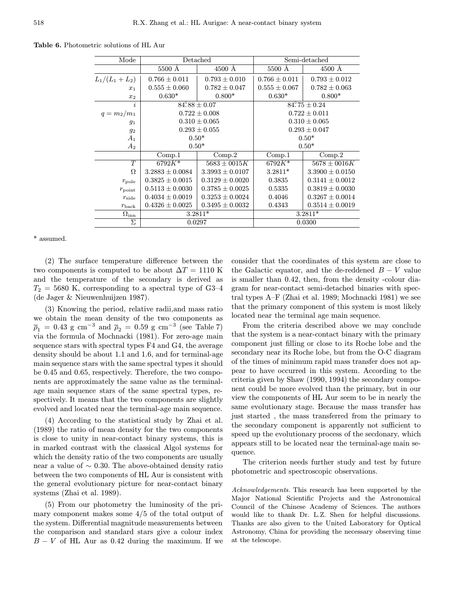| Mode               |                         | Detached            | Semi-detached     |                     |  |
|--------------------|-------------------------|---------------------|-------------------|---------------------|--|
|                    | 5500 Å                  | 4500 Å              | 5500 Å            | 4500 Å              |  |
| $L_1/(L_1+L_2)$    | $0.766 \pm 0.011$       | $0.793 \pm 0.010$   | $0.766 \pm 0.011$ | $0.793 \pm 0.012$   |  |
| $x_1$              | $0.555 \pm 0.060$       | $0.782 \pm 0.047$   | $0.555 \pm 0.067$ | $0.782 \pm 0.063$   |  |
| $x_2$              | $0.630*$                | $0.800*$            | $0.630*$          | $0.800*$            |  |
| i.                 | $84\degree 88 \pm 0.07$ |                     | $84.75 \pm 0.24$  |                     |  |
| $q = m_2/m_1$      |                         | $0.722 \pm 0.008$   | $0.722 \pm 0.011$ |                     |  |
| $g_1$              |                         | $0.310 \pm 0.065$   | $0.310 \pm 0.065$ |                     |  |
| 92                 |                         | $0.293 \pm 0.055$   | $0.293 \pm 0.047$ |                     |  |
| $A_1$              | $0.50*$                 |                     | $0.50*$           |                     |  |
| $A_2$              | $0.50*$                 |                     | $0.50*$           |                     |  |
|                    | Comp.1                  | Comp.2              | Comp.1            | Comp.2              |  |
| T                  | $6792K*$                | $5683 \pm 0015K$    | $6792K*$          | $5678 \pm 0016K$    |  |
| Ω                  | $3.2883 \pm 0.0084$     | $3.3993 \pm 0.0107$ | $3.2811*$         | $3.3900 \pm 0.0150$ |  |
| $r_{\rm pole}$     | $0.3825 \pm 0.0015$     | $0.3129 \pm 0.0020$ | 0.3835            | $0.3141 \pm 0.0012$ |  |
| $r_{\rm point}$    | $0.5113 \pm 0.0030$     | $0.3785 \pm 0.0025$ | 0.5335            | $0.3819 \pm 0.0030$ |  |
| $r_{\rm side}$     | $0.4034 \pm 0.0019$     | $0.3253 \pm 0.0024$ | 0.4046            | $0.3267 \pm 0.0014$ |  |
| $r_{\rm back}$     | $0.4326 \pm 0.0025$     | $0.3495 \pm 0.0032$ | 0.4343            | $0.3514 \pm 0.0019$ |  |
| $\Omega_{\rm inn}$ | $3.2811*$               |                     | $3.2811*$         |                     |  |
| Σ                  | 0.0297                  |                     | 0.0300            |                     |  |

Table 6. Photometric solutions of HL Aur

\* assumed.

(2) The surface temperature difference between the two components is computed to be about  $\Delta T = 1110$  K and the temperature of the secondary is derived as  $T_2 = 5680$  K, corresponding to a spectral type of G3-4 (de Jager & Nieuwenhuijzen 1987).

(3) Knowing the period, relative radii,and mass ratio we obtain the mean density of the two components as  $\overline{\rho}_1$  = 0.43 g cm<sup>-3</sup> and  $\overline{\rho}_2$  = 0.59 g cm<sup>-3</sup> (see Table 7) via the formula of Mochnacki (1981). For zero-age main sequence stars with spectral types F4 and G4, the average density should be about 1.1 and 1.6, and for terminal-age main sequence stars with the same spectral types it should be 0.45 and 0.65, respectively. Therefore, the two components are approximately the same value as the terminalage main sequence stars of the same spectral types, respectively. It means that the two components are slightly evolved and located near the terminal-age main sequence.

(4) According to the statistical study by Zhai et al. (1989) the ratio of mean density for the two components is close to unity in near-contact binary systems, this is in marked contrast with the classical Algol systems for which the density ratio of the two components are usually near a value of  $\sim 0.30$ . The above-obtained density ratio between the two components of HL Aur is consistent with the general evolutionary picture for near-contact binary systems (Zhai et al. 1989).

(5) From our photometry the luminosity of the primary component makes some 4/5 of the total output of the system. Differential magnitude measurements between the comparison and standard stars give a colour index  $B - V$  of HL Aur as 0.42 during the maximum. If we

consider that the coordinates of this system are close to the Galactic equator, and the de-reddened  $B - V$  value is smaller than 0.42, then, from the density -colour diagram for near-contact semi-detached binaries with spectral types A–F (Zhai et al. 1989; Mochnacki 1981) we see that the primary component of this system is most likely located near the terminal age main sequence.

From the criteria described above we may conclude that the system is a near-contact binary with the primary component just filling or close to its Roche lobe and the secondary near its Roche lobe, but from the O-C diagram of the times of minimum rapid mass transfer does not appear to have occurred in this system. According to the criteria given by Shaw (1990, 1994) the secondary component could be more evolved than the primary, but in our view the components of HL Aur seem to be in nearly the same evolutionary stage. Because the mass transfer has just started , the mass transferred from the primary to the secondary component is apparently not sufficient to speed up the evolutionary process of the secdonary, which appears still to be located near the terminal-age main sequence.

The criterion needs further study and test by future photometric and spectroscopic observations.

Acknowledgements. This research has been supported by the Major National Scientific Projects and the Astronomical Council of the Chinese Academy of Sciences. The authors would like to thank Dr. L.Z. Shen for helpful discussions. Thanks are also given to the United Laboratory for Optical Astronomy, China for providing the necessary observing time at the telescope.